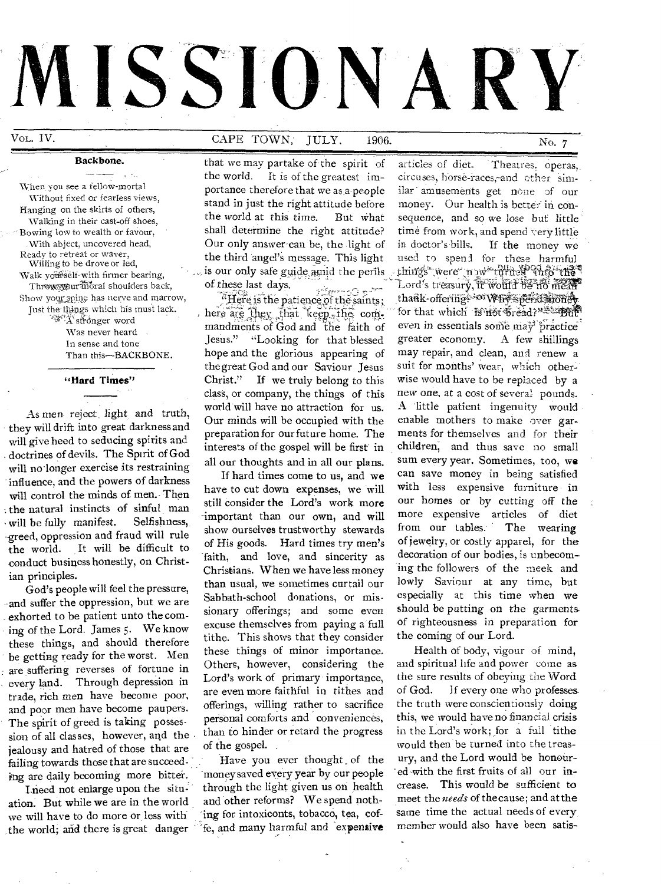# **ISSIONARY**

### Backbone.

 $\sim$ **Contract** When you see a fellow-mortal Without fixed or fearless views, Hanging on the skirts of others, Walking in their cast-off shoes, Bowing low to wealth or favour, .With abject, uncovered head, Ready to retreat or waver, Willing to be drove or led, \Valk yoffiiself-with firmer bearing, Throw warmoral shoulders back, Show your spine has nerve and marrow, Just the things which his must lack. A`sh-dnger word

Was never heard In sense and tone Than this—BACKBONE.

"Hard Times"

As men reject light and truth, they will drift into great darkness and will give heed to seducing spirits and . doctrines of devils. The Spirit of God will no longer exercise its restraining influence, and the powers of darkness will control the minds of men. Then the natural instincts of sinful man will be fully manifest. Selfishness, -greed, oppression and fraud will rule the world. It will be difficult to conduct business honestly, on Christian principles.

God's people will feel the pressure, -and suffer the oppression, but we are exhorted to be patient unto the coming of the Lord. James 5. We know these things, and should therefore be getting ready for the worst. Men are suffering reverses of fortune in every land. Through depression in trade, rich men have become poor, and poor men have become paupers. The spirit of greed is taking possession of all classes, however, and the jealousy and hatred of those that are failing towards those that are succeeding are daily becoming more bitter.

I need not enlarge upon the situation. But while we are in the world we will have to do more or, less with the world; and there is great danger

Vol. IV. CAPE TOWN, JULY, 1906. No. 7

that we may partake of-the spirit of the world. It is of the greatest importance therefore that we as a people stand in just the right attitude before the world at this time. But what shall determine the right attitude? Our only answer-can be, the light of the third angel's message. This light is our only safe guide amid the perils of.these last days.

nese last days.<br>"Here is the patience of the saints ; here are they that keep, the commandmeris of God and the faith of Jesus." "Looking for that blessed hope and the glorious appearing of the great God and our Saviour Jesus Christ." If we truly belong to this class, or company, the things of this world will have no attraction for us. Our minds will be occupied with the preparation for our future home. The interests of the gospel will be first in all our thoughts and in all our plans.

If hard times come to us, and we of His goods. Hard times try men's faith, and love, and sincerity as Christians. When we have less money than usual, we sometimes curtail our Sabbath-school donations, or missionary offerings; and some even excuse themselves from paying a full tithe. This shows that they consider these things of minor importance. Others, however, considering the Lord's work of primary importance, are even more faithful in tithes and offerings, willing rather to sacrifice personal comforts and conveniences, than to hinder or retard the progress of the gospel. still consider the Lord's work more important than our own, and will more expensive articles of diet<br>show ourselves trustworthy stewards from our tables. The wearing show ourselves trustworthy stewards

Have you ever thought. of the money saved every year by our people through the light given us on health and other reforms? We spend nothing for intoxiconts, tobacco, tea, cof fe, and many harmful and expensive

articles of diet. Theatres, operas, circuses, horse-races,-and other simliar amusements get none of our money. Our health is better in consequence, and so we lose but little time from work, and spend very little in doctor's bills. If the money we used to spent for these harmful Lord's treasury, it would be no mean things were n water the new into thank-offering www hyspendenoney for that which is not bread?" in that even in essentials some may practice greater economy. A few shillings may repair, and clean, and renew a suit for months' wear, which otherwise would have to be replaced by a new one, at a cost of several pounds. A little patient ingenuity would enable mothers to make over garments for themselves and for their children, and thus save no small sum every year. Sometimes, too, we can save money in being satisfied of jewelry, or costly apparel, for the decoration of our bodies, is unbecom ing the followers of the meek and lowly Saviour at any time, but especially at this time when we should be putting on the garmentsof righteousness in preparation for the coming of our Lord. have to cut down expenses, we will with less expensive furniture in still consider the Lord's work more our homes or by cutting off the

> Health of body, vigour of mind, and spiritual life and power come as the sure results of obeying the Word of God. If every one who professesthe truth were conscientiously doing this, we would have no financial crisis in the Lord's work; for a full tithe would then be turned into the treasury, and the Lord would be honour ed with the first fruits of all our increase. This would be sufficient to meet the *needs* of the cause; and at the same time the actual needs of every member would also have been satis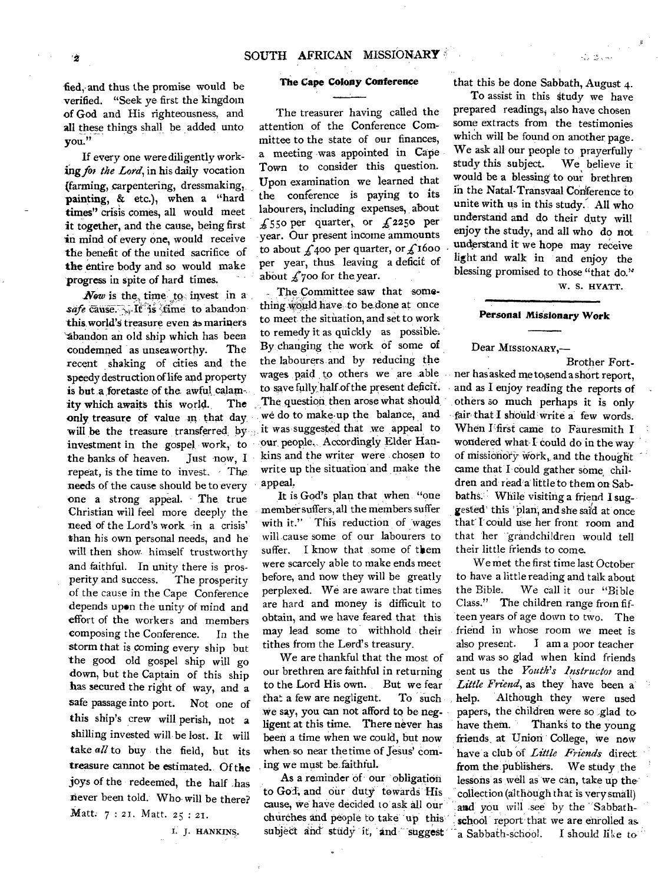fied, and thus the promise would be verified. "Seek ye first the kingdom of God and His righteousness, and all these things shall be added unto you."

If every one were diligently working for the Lord, in his daily vocation (farming, carpentering, dressmaking, painting, & etc.), when a "hard times" crisis comes, all would meet it together, and the cause, being first in mind of every one, would receive the benefit of the united sacrifice of the entire body and so would make progress in spite of hard times.

*Now* is the time to invest in a safe cause. It is *fime* to abandon this world'S treasure even as mariners "Abandon an old ship which has been condemned as unseaworthy. The recent shaking of cities and the speedy destruction of life and property is but a foretaste of the awful calamity which awaits this world. The only treasure of value in that day will be the treasure transferred, by investment in the gospel work, to the banks of heaven. Just now, I repeat, is the time to invest. - The needs of the cause should be to every one a strong appeal. The. true Christian will feel more deeply the need of the Lord's work -in a crisis' than his own personal needs, and he' will then show himself trustworthy and faithful. In unity there is prosperity and success. The prosperity of the cause in the Cape Conference depends upon the unity of mind and effort of the workers and members composing the Conference. In the storm that is coming every ship but the good old gospel ship will go down, but the Captain of this ship has secured the right of way, and a safe passage into port. Not one of this ship's crew will perish, not a shilling invested will be lost. It will take *all to* buy the field, but its treasure cannot be estimated.. Of the joys of the redeemed, the half has never been told. Who will be there? Matt. 7 : 21. Matt. 25 : 21.

I. J. HANKINS.

# **The Cape Colony Conference**

The treasurer having called the attention of the Conference Committee to the state of our finances, a meeting was appointed in Cape Town to consider this question. Upon examination we learned that the conference is paying to its labourers, including expenses, about  $£550$  per quarter, or  $£2250$  per year. Our present income ammounts to about  $\oint$  400 per quarter, or  $\oint$  1600 per year, thus leaving a deficit of about  $f$ 700 for the year.

The Committee saw that something would have to be done at once to meet the situation, and set to work to remedy it as quickly as possible. By changing the work of some of the labourers and by reducing the wages paid to others we are able to save fully, half of the present deficit. The question then arose what should we do to make up the balance, and it was suggested that we appeal to our, people, Accordingly Elder Hankins and the writer were chosen to write up the situation and make the appeal.

It is God's plan that when. "one member suffers, all the members suffer with it." This reduction of wages will cause some of our labourers to suffer. I know that some of them were scarcely able to make ends meet before, and now they will be greatly perplexed. We are aware that times are hard and money is difficult to obtain, and we have feared that this may lead some to withhold their tithes from the Lord's treasury.

We are thankful that the most of our brethren are faithful in returning to the Lord His own. But we fear that a few are negligent. To such We say, you can not afford to be negligent at this time. There never has been a time when we could, but now when so near the time of Jesus' coming we must be faithful.

As a reminder of **our** obligation to Go<sup>t</sup>, and our duty towards His cause, *we* have decided to ask all our that this be done Sabbath, August 4.

To assist in this study we have prepared readings, also have chosen some extracts from the testimonies which will be found on another page. We ask all our people to prayerfully study this subject. We believe it would be a blessing to our brethren in the Natal-Transvaal COnference to unite with us in this study.. All who understand and do their duty will enjoy the study, and all who do not understand it we hope may receive light and walk in and enjoy the blessing promised to those "that do."

W. S. HYATT.

 $\mathcal{L} \in \mathbb{R}^{N}$ 

ata ke sua

# **Personal Missionary Work**

# Dear MISSIONARY,-

Brother Fortner has asked me to,send a short report, and as I enjoy reading the reports of others so much perhaps it is only fair that **I** should write a few words. When Ffirst came to Fauresmith I wondered what I could do in the way of missionory work, and the thought came that 'I could gather some children and read a little to them on Sabbaths. While visiting a friend I suggested' this ' Plan, and she said at once that' I could use her front room and that 'her -grandchildren would tell their little friends to come.

We met the first time last October to have a little reading and talk about the Bible. We call it our "Bible Class." The children range from fifteen years of age down to two. The friend in whose room we meet is also present. I am a poor teacher and was so glad when kind friends sent us the *Youth's Instructor* and *Little Friend,* as they have been a' help. Although they were used papers, the children were so glad to have them. Thanks to the young friends, at Union College, we *now*  have a club of *Little Friends* direct from the.publishers. We study the lessons as well as we can, take up the collection (although that is very small) and you will see by the 'Sabbathchurches and people to take up this school report that we are enrolled as. subject and study it, and suggest a Sabbath-school. I should like to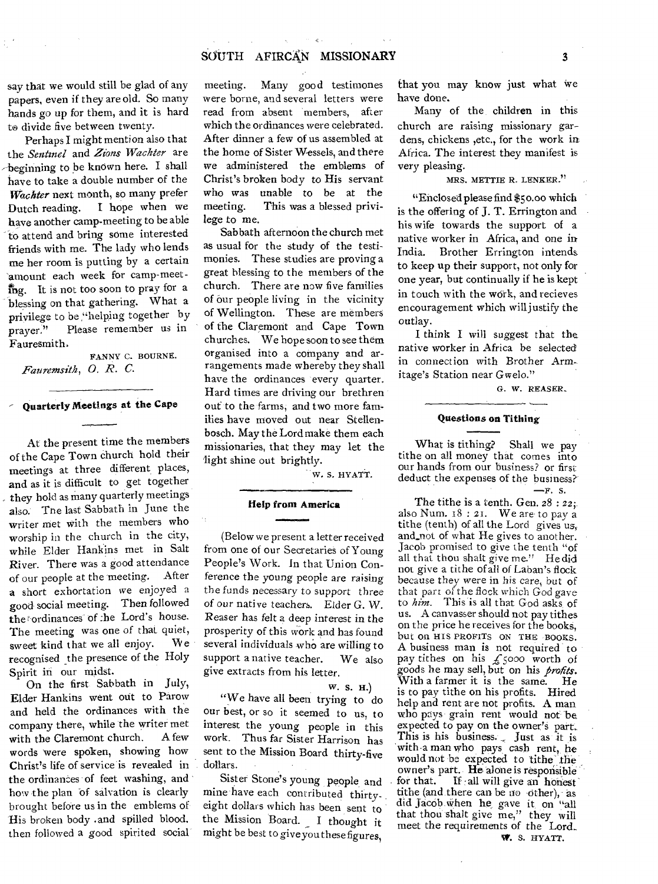# SOUTH AFIRCAN MISSIONARY 3

say that we would still be glad of any papers, even if they are old. So many hands go up for them, and it is hard to divide five between twenty.

Perhaps I might mention also that the *Sentinel* and *Zions Wachter* are beginning to be known here. I shall have to take a double number of the *Wachter* next month, so many prefer Dutch reading. I hope when we have another camp-meeting to be able -to attend and bring some interested friends with me. The lady who lends me her room is putting by a certain amount each week for camp-meet $n =$  It is not too soon to pray for a blessing on that gathering. What a privilege to be "helping together by prayer." Please remember us in Fauresmith,

FANNY C. BOURNE. *Fauremsith, 0. R. C.* 

# **Quarterly Meetings at the Cape**

At the present time the members of the Cape Town church hold their meetings at three different places, and as it is difficult to get together they hold as many quarterly meetings also. The last Sabbath in June the writer met with the members who worship in the church in the city, while Elder Hankins met in Salt River. There was a good attendance of our people at the meeting. After **a** short exhortation we enjoyed a good social meeting. Then followed the rordinances of :he Lord's house. The meeting was one of that quiet, sweet kind that we all enjoy. We recognised the presence of the Holy Spirit in our midst.

On the first. Sabbath in July, Elder Hankins went out to Parow and held the ordinances with the company there, while the writer met with the Claremont church. A few words were spoken, showing how Christ's life of service is revealed in the ordinances of feet washing, and how the plan of salvation is clearly brought before us in the emblems of His broken body .and spilled blood. then followed a good spirited social

meeting. Many good testimones were borne, and several letters were read from absent members, after which the ordinances were celebrated. After dinner a few of us assembled at the home of Sister Wessels, and there we administered the emblems of Christ's broken body to His servant who was unable to be at the meeting. This was a blessed privilege to me.

Sabbath afternoon the church met as usual for the study of the testimonies. These studies are proving a great blessing to the members of the church. There are now five families of our people living in the vicinity of Wellington. These are members of the Claremont and Cape Town churches. We hope soon to see them organised into a company and arrangements made whereby they shall have the ordinances every quarter. Hard times are driving our brethren out to the farms, and two more families have moved out near Stellenbosch. May the Lord make them each missionaries, that they may let the light shine out brightly.

W. S. HYATT.

# **Help from America**  MIMMIFIMILIMINSI•10

(Below *we* present a letter received from one of our Secretaries of Young People's Work. In that Union Conference the young people are raising the funds *necessary* to support three of our native *teachers.* Elder G. W. Reaser has felt a deep interest in the prosperity of this work and has found several individuals who are willing to support a native teacher. We also give extracts from his letter.

W. S. H.)

"We have all been trying to do our best, or so it seemed to us, to interest the young people in this work. Thus far Sister Harrison has sent to the Mission Board thirty-five dollars.

Sister Stone's young people and mine have each contributed thirtyeight dollars which has been sent to the Mission Board. \_ I thought it might be best to giveyou these figures,

that you may know just what we have done.

Many of the children in this church are raising missionary gardens, chickens ,etc., for the work in Africa. The interest they manifest is very pleasing.

# MRS. METTIE R. LENKER."

"Enclosed please find \$5o.00 which is the offering of J. T. Errington and his wife towards the support of a native worker in Africa, and one in India. Brother Errington intends to keep up their support, not only for one year, but continually if he is kept in touch with the work, and recieves encouragement which will justify the outlay.

I think I will suggest that the native worker in Africa be selected in connection with Brother Armitage's Station near Gwelo."

*G.* W. REASER.

### **Questions on Tithing**

What is tithing? Shall we pay tithe on all money that comes into our hands from our business? or first deduct the expenses of the business?  $-r.$  s.

The tithe is a tenth. Gen.  $28:22$ ; also Num. 18 : 21. We are to pay a tithe (tenth) of all the Lord gives us, and not of what He gives to another. Jacob promised to give the tenth "of all that thou shalt give me." He did not give a tithe of all of Laban's flock because they were in his care, but of that part of the flock which God gave to *him*. This is all that God asks of us. A canvasser should not pay tithes on the price he receives for the bookS, but on HIS PROFITS ON THE BOOKS. A business man is not required to pay tithes on his  $f_{5000}$  worth of goods he may sell, but on his *profits.*  With a farmer it is the same. He is to pay tithe on his profits. Hired help and rent are not profits. A man who pays- grain rent would not 'be expected to pay on the owner's part. This is his business. Just as it is with a man who pays cash rent, he would not be expected to tithe the owner's part. He alone is responsible<br>for that. If all will give an honest If all will give an honest tithe (and there can be no -other), as did Jacoh.When he, gave it on "all that thou shalt give me," they will meet the requirements of the Lord.. W. S. HYATT.